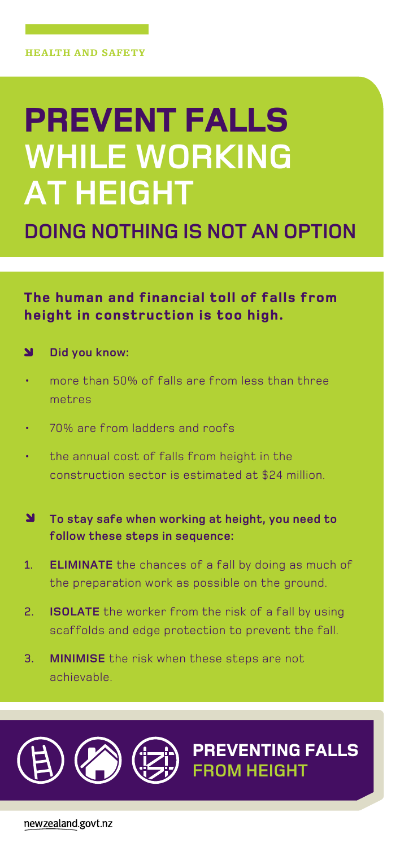## **Prevent falls while working at height**

**Doing nothing is not an option**

**The human and financial toll of falls from height in construction is too high.**

## N  **Did you know:**

- more than 50% of falls are from less than three metres
- • 70% are from ladders and roofs
- the annual cost of falls from height in the construction sector is estimated at \$24 million.
- N **To stay safe when working at height, you need to follow these steps in sequence:**
- 1. **eliminate** the chances of a fall by doing as much of the preparation work as possible on the ground.
- 2. **isolate** the worker from the risk of a fall by using scaffolds and edge protection to prevent the fall.

**PreventING falls**

**from height**

3. **minimise** the risk when these steps are not achievable.